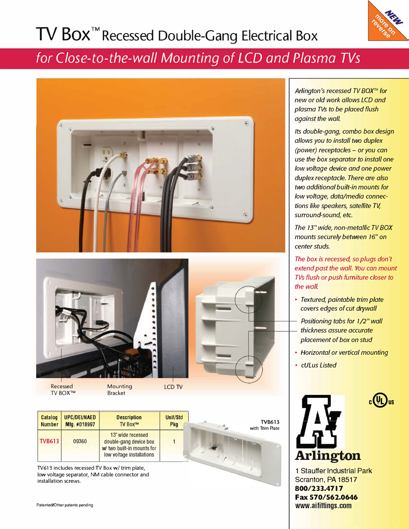# **TV Box TM Recessed Double-Gang Electrical Box**



### *for Close-to-the-wall Mounting of LCD and Plasma TVs*



TV BOX™

**Mounting** Bracket

**Catalog UPC/DEI/NAED**<br>Number Mfg. #018997 **Mfg. #018997 TVB613** 09360 **Description**  TV Box™ 13" wide recessed double-gang device box *wl* two built-in mounts for low voltage installations Unit/Sid **Pkg**  1 ing the control of the control of the control of the control of the control of the control of the control of the control of the control of the control of the control of the control of the control of the control of the cont TVB613 with Trim Plate

TV613 includes recessed TV Box w/ trim plate, low voltage separator, NM cable connector and installation screws.

Patented/Other patents pending

*Arlington's recessed TV BOX''·' for new or old work allows LCD and plasma TVs to be placed flush*  against the wall.

*Its double-gang, combo box design allows you to install two duplex (power) receptacles* - *or you can use the box separator to install one low voltage device and one power duplex receptacle. There are also two additional built-in mounts for low voltage, data/media connections like speakers, satellite TV, surround-sound, etc.* 

*The 73" wide, non-metallic TV BOX mounts securely between 16" on center studs.* 

*The box is recessed, so plugs don't extend past the wall. You can mount TVs flush or push furniture closer to the wall.* 

- *Textured, paintable trim plate covers edges of cut drywall*
- *Positioning tabs for 1/2" wall thickness assure accurate placement of box on stud*
- *Horizontal or vertical mounting*

 $c(U_L)$ 

• *cULus Listed*



1 Stauffer Industrial Park Scranton, PA 18517 **800/233.4717 Fax 570/562.0646 www.aifittings.com**